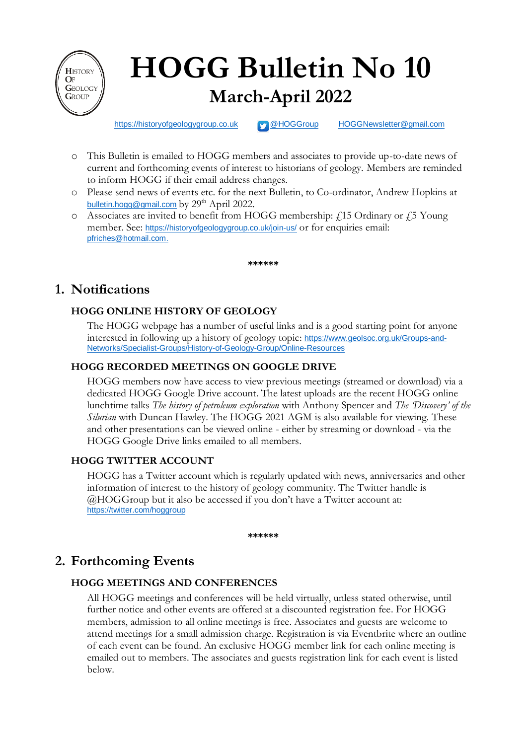

# **HOGG Bulletin No 10 March-April 2022**

[https://historyofgeologygroup.co.uk](https://historyofgeologygroup.co.uk/) **[@HOGGroup](https://twitter.com/hoggroup?lang=en) [HOGGNewsletter@gmail.com](mailto:HOGGNewsletter@gmail.com)** 

- o This Bulletin is emailed to HOGG members and associates to provide up-to-date news of current and forthcoming events of interest to historians of geology. Members are reminded to inform HOGG if their email address changes.
- o Please send news of events etc. for the next Bulletin, to Co-ordinator, Andrew Hopkins at [bulletin.hogg@gmail.com](mailto:bulletin.hogg@gmail.com) by  $29<sup>th</sup>$  April 2022.
- $\circ$  Associates are invited to benefit from HOGG membership:  $\angle$  15 Ordinary or  $\angle$  5 Young member. See: <https://historyofgeologygroup.co.uk/join-us/> or for enquiries email: [pfriches@hotmail.com.](mailto:pfriches@hotmail.com)

**\*\*\*\*\*\***

# **1. Notifications**

# **HOGG ONLINE HISTORY OF GEOLOGY**

The HOGG webpage has a number of useful links and is a good starting point for anyone interested in following up a history of geology topic: [https://www.geolsoc.org.uk/Groups-and-](https://www.geolsoc.org.uk/Groups-and-Networks/Specialist-Groups/History-of-Geology-Group/Online-Resources)[Networks/Specialist-Groups/History-of-Geology-Group/Online-Resources](https://www.geolsoc.org.uk/Groups-and-Networks/Specialist-Groups/History-of-Geology-Group/Online-Resources)

## **HOGG RECORDED MEETINGS ON GOOGLE DRIVE**

HOGG members now have access to view previous meetings (streamed or download) via a dedicated HOGG Google Drive account. The latest uploads are the recent HOGG online lunchtime talks *The history of petroleum exploration* with Anthony Spencer and *The 'Discovery' of the Silurian* with Duncan Hawley. The HOGG 2021 AGM is also available for viewing. These and other presentations can be viewed online - either by streaming or download - via the HOGG Google Drive links emailed to all members.

## **HOGG TWITTER ACCOUNT**

HOGG has a Twitter account which is regularly updated with news, anniversaries and other information of interest to the history of geology community. The Twitter handle is @HOGGroup but it also be accessed if you don't have a Twitter account at: <https://twitter.com/hoggroup>

**\*\*\*\*\*\***

# **2. Forthcoming Events**

## **HOGG MEETINGS AND CONFERENCES**

All HOGG meetings and conferences will be held virtually, unless stated otherwise, until further notice and other events are offered at a discounted registration fee. For HOGG members, admission to all online meetings is free. Associates and guests are welcome to attend meetings for a small admission charge. Registration is via Eventbrite where an outline of each event can be found. An exclusive HOGG member link for each online meeting is emailed out to members. The associates and guests registration link for each event is listed below.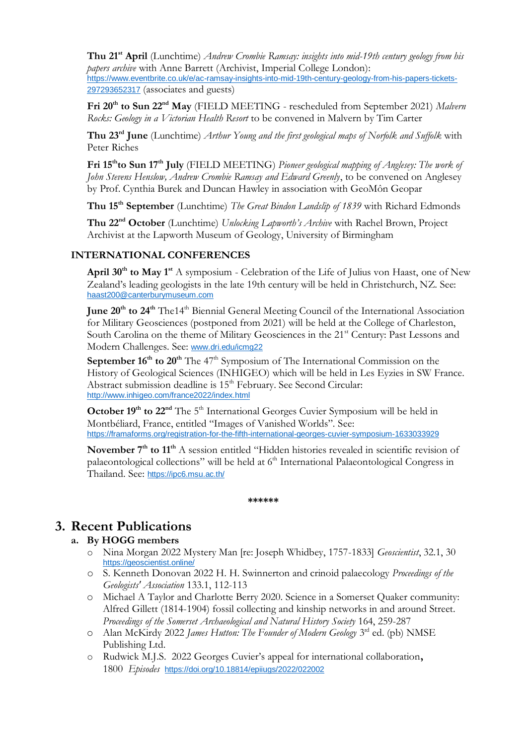**Thu 21st April** (Lunchtime) *Andrew Crombie Ramsay: insights into mid-19th century geology from his papers archive* with Anne Barrett (Archivist, Imperial College London): [https://www.eventbrite.co.uk/e/ac-ramsay-insights-into-mid-19th-century-geology-from-his-papers-tickets-](https://www.eventbrite.co.uk/e/ac-ramsay-insights-into-mid-19th-century-geology-from-his-papers-tickets-297293652317)[297293652317](https://www.eventbrite.co.uk/e/ac-ramsay-insights-into-mid-19th-century-geology-from-his-papers-tickets-297293652317) (associates and guests)

Fri 20<sup>th</sup> to Sun 22<sup>nd</sup> May (FIELD MEETING - rescheduled from September 2021) Malvern *Rocks: Geology in a Victorian Health Resort* to be convened in Malvern by Tim Carter

**Thu 23rd June** (Lunchtime) *Arthur Young and the first geological maps of Norfolk and Suffolk* with Peter Riches

**Fri 15thto Sun 17 th July** (FIELD MEETING) *Pioneer geological mapping of Anglesey: The work of John Stevens Henslow, Andrew Crombie Ramsay and Edward Greenly*, to be convened on Anglesey by Prof. Cynthia Burek and Duncan Hawley in association with GeoMôn Geopar

**Thu 15th September** (Lunchtime) *The Great Bindon Landslip of 1839* with Richard Edmonds

**Thu 22nd October** (Lunchtime) *Unlocking Lapworth's Archive* with Rachel Brown, Project Archivist at the Lapworth Museum of Geology, University of Birmingham

#### **INTERNATIONAL CONFERENCES**

**April 30th to May 1st** A symposium - Celebration of the Life of Julius von Haast, one of New Zealand's leading geologists in the late 19th century will be held in Christchurch, NZ. See: [haast200@canterburymuseum.com](mailto:haast200@canterburymuseum.com)

**June 20th to 24th** The14th Biennial General Meeting Council of the International Association for Military Geosciences (postponed from 2021) will be held at the College of Charleston, South Carolina on the theme of Military Geosciences in the 21<sup>st</sup> Century: Past Lessons and Modern Challenges. See: [www.dri.edu/icmg22](http://www.dri.edu/icmg22)

**September 16<sup>th</sup> to 20<sup>th</sup>** The 47<sup>th</sup> Symposium of The International Commission on the History of Geological Sciences (INHIGEO) which will be held in Les Eyzies in SW France. Abstract submission deadline is 15<sup>th</sup> February. See Second Circular: <http://www.inhigeo.com/france2022/index.html>

**October 19<sup>th</sup> to 22<sup>nd</sup>** The 5<sup>th</sup> International Georges Cuvier Symposium will be held in Montbéliard, France, entitled "Images of Vanished Worlds". See: <https://framaforms.org/registration-for-the-fifth-international-georges-cuvier-symposium-1633033929>

**November 7th to 11th** A session entitled "Hidden histories revealed in scientific revision of palaeontological collections" will be held at  $6<sup>th</sup>$  International Palaeontological Congress in Thailand. See: <https://ipc6.msu.ac.th/>

**\*\*\*\*\*\***

# **3. Recent Publications**

#### **a. By HOGG members**

- o Nina Morgan 2022 Mystery Man [re: Joseph Whidbey, 1757-1833] *Geoscientist*, 32.1, 30 <https://geoscientist.online/>
- o S. Kenneth Donovan 2022 H. H. Swinnerton and crinoid palaecology *Proceedings of the Geologists' Association* 133.1, 112-113
- o Michael A Taylor and Charlotte Berry 2020. Science in a Somerset Quaker community: Alfred Gillett (1814-1904) fossil collecting and kinship networks in and around Street. *Proceedings of the Somerset Archaeological and Natural History Society* 164, 259-287
- o Alan McKirdy 2022 *James Hutton: The Founder of Modern Geology* 3<sup>rd</sup> ed. (pb) NMSE Publishing Ltd.
- o Rudwick M.J.S. 2022 Georges Cuvier's appeal for international collaboration**,** 1800 *Episodes* <https://doi.org/10.18814/epiiugs/2022/022002>